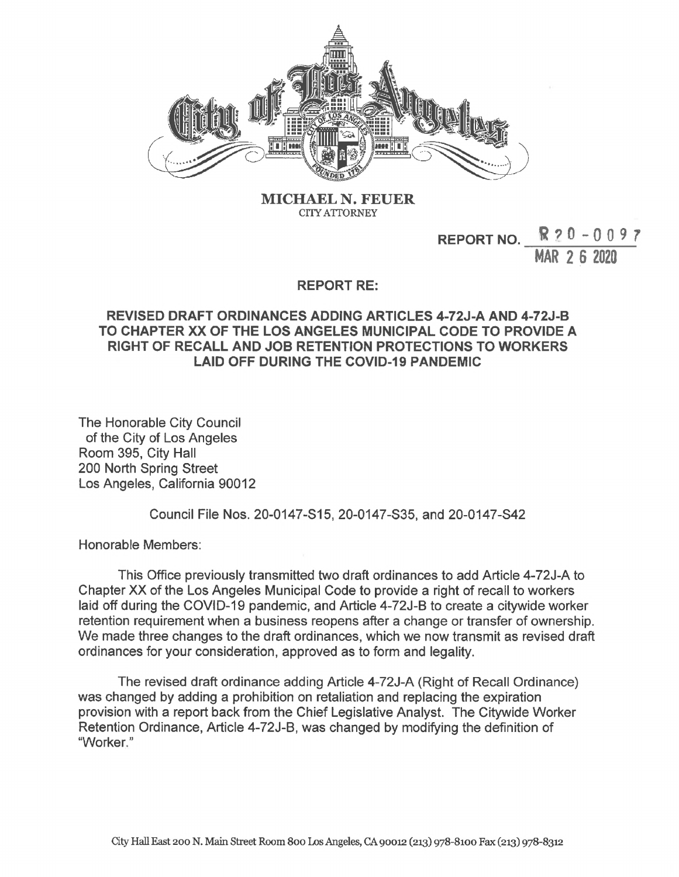

**MICHAEL N. FEUER CITY ATTORNEY**

## **REPORT NO. R?0-009? MAR 2 6 2020**

## **REPORT RE:**

## **REVISED DRAFT ORDINANCES ADDING ARTICLES 4-72J-A AND 4-72J-B TO CHAPTER XX OF THE LOS ANGELES MUNICIPAL CODE TO PROVIDE A RIGHT OF RECALL AND JOB RETENTION PROTECTIONS TO WORKERS LAID OFF DURING THE COVID-19 PANDEMIC**

The Honorable City Council of the City of Los Angeles Room 395, City Hall 200 North Spring Street Los Angeles, California 90012

Council File Nos. 20-0147-S15, 20-0147-S35, and 20-0147-S42

Honorable Members:

This Office previously transmitted two draft ordinances to add Article 4-72J-A to Chapter XX of the Los Angeles Municipal Code to provide a right of recall to workers laid off during the COVID-19 pandemic, and Article 4-72J-B to create a citywide worker retention requirement when a business reopens after a change or transfer of ownership. We made three changes to the draft ordinances, which we now transmit as revised draft ordinances for your consideration, approved as to form and legality.

The revised draft ordinance adding Article 4-72J-A (Right of Recall Ordinance) was changed by adding a prohibition on retaliation and replacing the expiration provision with a report back from the Chief Legislative Analyst. The Citywide Worker Retention Ordinance, Article 4-72J-B, was changed by modifying the definition of "Worker."